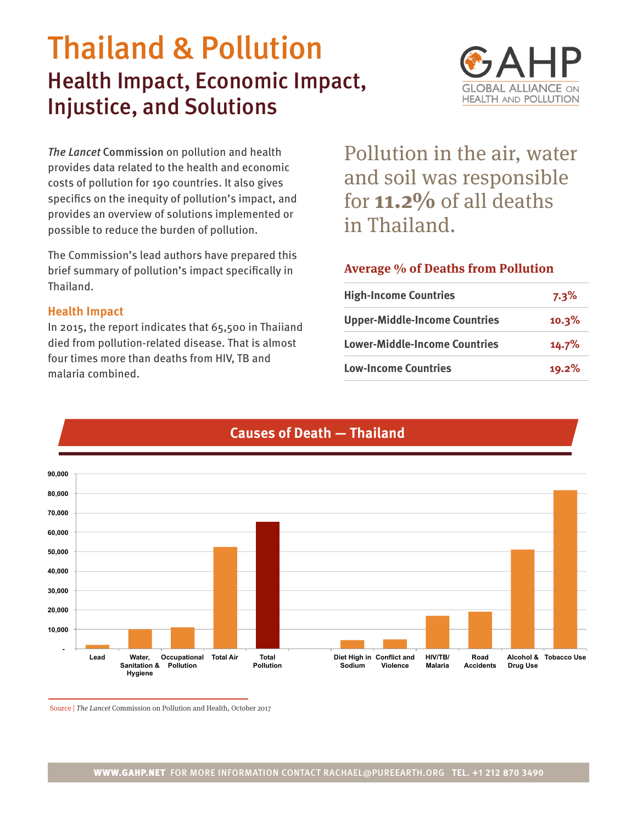# Thailand & Pollution Health Impact, Economic Impact, Injustice, and Solutions



*The Lancet* Commission on pollution and health provides data related to the health and economic costs of pollution for 190 countries. It also gives specifics on the inequity of pollution's impact, and provides an overview of solutions implemented or possible to reduce the burden of pollution.

The Commission's lead authors have prepared this brief summary of pollution's impact specifically in Thailand.

## **Health Impact**

In 2015, the report indicates that 65,500 in Thaiiand died from pollution-related disease. That is almost four times more than deaths from HIV, TB and malaria combined.

Pollution in the air, water and soil was responsible for **11.2%** of all deaths in Thailand.

## **Average % of Deaths from Pollution**

| <b>High-Income Countries</b>         | $7.3\%$ |
|--------------------------------------|---------|
| <b>Upper-Middle-Income Countries</b> | 10.3%   |
| <b>Lower-Middle-Income Countries</b> | 14.7%   |
| <b>Low-Income Countries</b>          | 19.2%   |



# **Causes of Death — Thailand**

Source | The Lancet Commission on Pollution and Health, October 2017